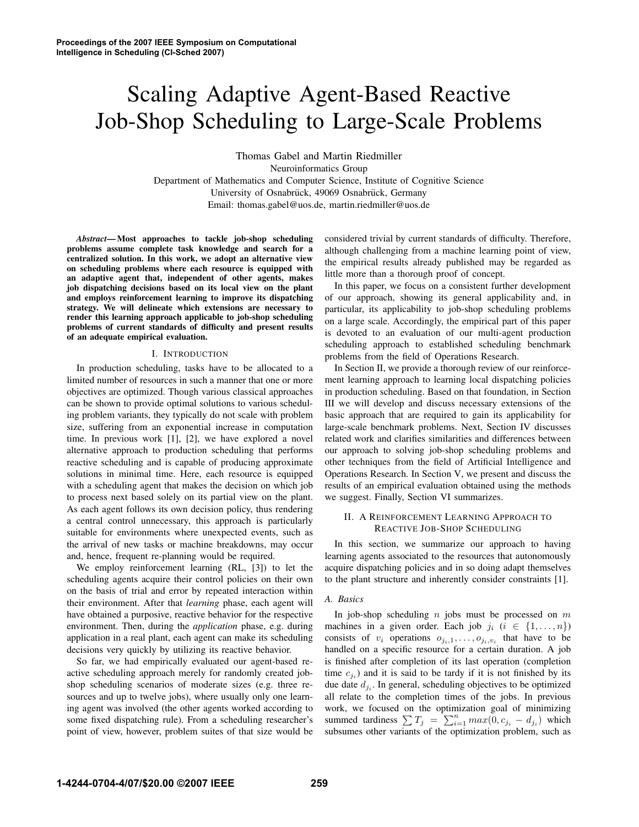# Scaling Adaptive Agent-Based Reactive Job-Shop Scheduling to Large-Scale Problems

Thomas Gabel and Martin Riedmiller Neuroinformatics Group Department of Mathematics and Computer Science, Institute of Cognitive Science University of Osnabrück, 49069 Osnabrück, Germany Email: thomas.gabel@uos.de, martin.riedmiller@uos.de

*Abstract***— Most approaches to tackle job-shop scheduling problems assume complete task knowledge and search for a centralized solution. In this work, we adopt an alternative view on scheduling problems where each resource is equipped with an adaptive agent that, independent of other agents, makes job dispatching decisions based on its local view on the plant and employs reinforcement learning to improve its dispatching strategy. We will delineate which extensions are necessary to render this learning approach applicable to job-shop scheduling problems of current standards of difficulty and present results of an adequate empirical evaluation.**

#### I. INTRODUCTION

In production scheduling, tasks have to be allocated to a limited number of resources in such a manner that one or more objectives are optimized. Though various classical approaches can be shown to provide optimal solutions to various scheduling problem variants, they typically do not scale with problem size, suffering from an exponential increase in computation time. In previous work [1], [2], we have explored a novel alternative approach to production scheduling that performs reactive scheduling and is capable of producing approximate solutions in minimal time. Here, each resource is equipped with a scheduling agent that makes the decision on which job to process next based solely on its partial view on the plant. As each agent follows its own decision policy, thus rendering a central control unnecessary, this approach is particularly suitable for environments where unexpected events, such as the arrival of new tasks or machine breakdowns, may occur and, hence, frequent re-planning would be required.

We employ reinforcement learning (RL, [3]) to let the scheduling agents acquire their control policies on their own on the basis of trial and error by repeated interaction within their environment. After that *learning* phase, each agent will have obtained a purposive, reactive behavior for the respective environment. Then, during the *application* phase, e.g. during application in a real plant, each agent can make its scheduling decisions very quickly by utilizing its reactive behavior.

So far, we had empirically evaluated our agent-based reactive scheduling approach merely for randomly created jobshop scheduling scenarios of moderate sizes (e.g. three resources and up to twelve jobs), where usually only one learning agent was involved (the other agents worked according to some fixed dispatching rule). From a scheduling researcher's point of view, however, problem suites of that size would be considered trivial by current standards of difficulty. Therefore, although challenging from a machine learning point of view, the empirical results already published may be regarded as little more than a thorough proof of concept.

In this paper, we focus on a consistent further development of our approach, showing its general applicability and, in particular, its applicability to job-shop scheduling problems on a large scale. Accordingly, the empirical part of this paper is devoted to an evaluation of our multi-agent production scheduling approach to established scheduling benchmark problems from the field of Operations Research.

In Section II, we provide a thorough review of our reinforcement learning approach to learning local dispatching policies in production scheduling. Based on that foundation, in Section III we will develop and discuss necessary extensions of the basic approach that are required to gain its applicability for large-scale benchmark problems. Next, Section IV discusses related work and clarifies similarities and differences between our approach to solving job-shop scheduling problems and other techniques from the field of Artificial Intelligence and Operations Research. In Section V, we present and discuss the results of an empirical evaluation obtained using the methods we suggest. Finally, Section VI summarizes.

# II. A REINFORCEMENT LEARNING APPROACH TO REACTIVE JOB-SHOP SCHEDULING

In this section, we summarize our approach to having learning agents associated to the resources that autonomously acquire dispatching policies and in so doing adapt themselves to the plant structure and inherently consider constraints [1].

#### *A. Basics*

In job-shop scheduling  $n$  jobs must be processed on  $m$ machines in a given order. Each job  $j_i$   $(i \in \{1, ..., n\})$ consists of  $v_i$  operations  $o_{i_1,1}, \ldots, o_{i_i,v_i}$  that have to be handled on a specific resource for a certain duration. A job is finished after completion of its last operation (completion time  $c_{i}$ ) and it is said to be tardy if it is not finished by its due date  $d_{i_i}$ . In general, scheduling objectives to be optimized all relate to the completion times of the jobs. In previous work, we focused on the optimization goal of minimizing summed tardiness  $\sum T_j = \sum_{i=1}^n max(0, c_{j_i} - d_{j_i})$  which subsumes other variants of the optimization problem, such as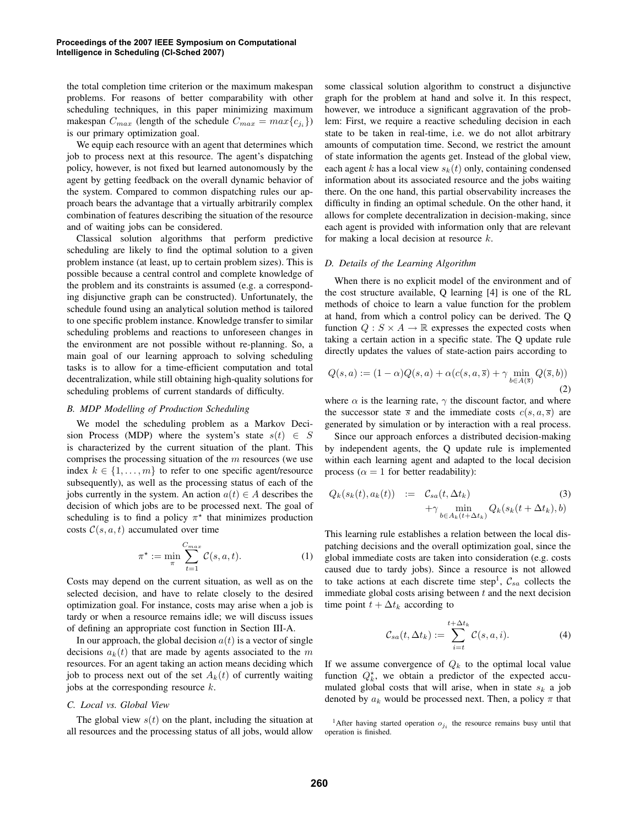the total completion time criterion or the maximum makespan problems. For reasons of better comparability with other scheduling techniques, in this paper minimizing maximum makespan  $C_{max}$  (length of the schedule  $C_{max} = max\{c_{j_i}\}\$ ) is our primary optimization goal.

We equip each resource with an agent that determines which job to process next at this resource. The agent's dispatching policy, however, is not fixed but learned autonomously by the agent by getting feedback on the overall dynamic behavior of the system. Compared to common dispatching rules our approach bears the advantage that a virtually arbitrarily complex combination of features describing the situation of the resource and of waiting jobs can be considered.

Classical solution algorithms that perform predictive scheduling are likely to find the optimal solution to a given problem instance (at least, up to certain problem sizes). This is possible because a central control and complete knowledge of the problem and its constraints is assumed (e.g. a corresponding disjunctive graph can be constructed). Unfortunately, the schedule found using an analytical solution method is tailored to one specific problem instance. Knowledge transfer to similar scheduling problems and reactions to unforeseen changes in the environment are not possible without re-planning. So, a main goal of our learning approach to solving scheduling tasks is to allow for a time-efficient computation and total decentralization, while still obtaining high-quality solutions for scheduling problems of current standards of difficulty.

# *B. MDP Modelling of Production Scheduling*

We model the scheduling problem as a Markov Decision Process (MDP) where the system's state  $s(t) \in S$ is characterized by the current situation of the plant. This comprises the processing situation of the  $m$  resources (we use index  $k \in \{1, \ldots, m\}$  to refer to one specific agent/resource subsequently), as well as the processing status of each of the jobs currently in the system. An action  $a(t) \in A$  describes the decision of which jobs are to be processed next. The goal of scheduling is to find a policy  $\pi^*$  that minimizes production costs  $C(s, a, t)$  accumulated over time

$$
\pi^* := \min_{\pi} \sum_{t=1}^{C_{max}} C(s, a, t). \tag{1}
$$

Costs may depend on the current situation, as well as on the selected decision, and have to relate closely to the desired optimization goal. For instance, costs may arise when a job is tardy or when a resource remains idle; we will discuss issues of defining an appropriate cost function in Section III-A.

In our approach, the global decision  $a(t)$  is a vector of single decisions  $a_k(t)$  that are made by agents associated to the m resources. For an agent taking an action means deciding which job to process next out of the set  $A_k(t)$  of currently waiting jobs at the corresponding resource  $k$ .

# *C. Local vs. Global View*

The global view  $s(t)$  on the plant, including the situation at all resources and the processing status of all jobs, would allow

some classical solution algorithm to construct a disjunctive graph for the problem at hand and solve it. In this respect, however, we introduce a significant aggravation of the problem: First, we require a reactive scheduling decision in each state to be taken in real-time, i.e. we do not allot arbitrary amounts of computation time. Second, we restrict the amount of state information the agents get. Instead of the global view, each agent k has a local view  $s_k(t)$  only, containing condensed information about its associated resource and the jobs waiting there. On the one hand, this partial observability increases the difficulty in finding an optimal schedule. On the other hand, it allows for complete decentralization in decision-making, since each agent is provided with information only that are relevant for making a local decision at resource k.

#### *D. Details of the Learning Algorithm*

When there is no explicit model of the environment and of the cost structure available, Q learning [4] is one of the RL methods of choice to learn a value function for the problem at hand, from which a control policy can be derived. The Q function  $Q : S \times A \rightarrow \mathbb{R}$  expresses the expected costs when taking a certain action in a specific state. The Q update rule directly updates the values of state-action pairs according to

$$
Q(s, a) := (1 - \alpha)Q(s, a) + \alpha(c(s, a, \overline{s}) + \gamma \min_{b \in A(\overline{s})} Q(\overline{s}, b))
$$
\n(2)

where  $\alpha$  is the learning rate,  $\gamma$  the discount factor, and where the successor state  $\bar{s}$  and the immediate costs  $c(s, a, \bar{s})$  are generated by simulation or by interaction with a real process.

Since our approach enforces a distributed decision-making by independent agents, the Q update rule is implemented within each learning agent and adapted to the local decision process ( $\alpha = 1$  for better readability):

$$
Q_k(s_k(t), a_k(t)) := C_{sa}(t, \Delta t_k) + \gamma \min_{b \in A_k(t + \Delta t_k)} Q_k(s_k(t + \Delta t_k), b)
$$
(3)

This learning rule establishes a relation between the local dispatching decisions and the overall optimization goal, since the global immediate costs are taken into consideration (e.g. costs caused due to tardy jobs). Since a resource is not allowed to take actions at each discrete time step<sup>1</sup>,  $\mathcal{C}_{sa}$  collects the immediate global costs arising between  $t$  and the next decision time point  $t + \Delta t_k$  according to

$$
\mathcal{C}_{sa}(t,\Delta t_k) := \sum_{i=t}^{t+\Delta t_k} \mathcal{C}(s,a,i). \tag{4}
$$

If we assume convergence of  $Q_k$  to the optimal local value function  $Q_k^*$ , we obtain a predictor of the expected accumulated global costs that will arise, when in state  $s_k$  a job denoted by  $a_k$  would be processed next. Then, a policy  $\pi$  that

<sup>&</sup>lt;sup>1</sup>After having started operation  $o_{j_i}$  the resource remains busy until that operation is finished.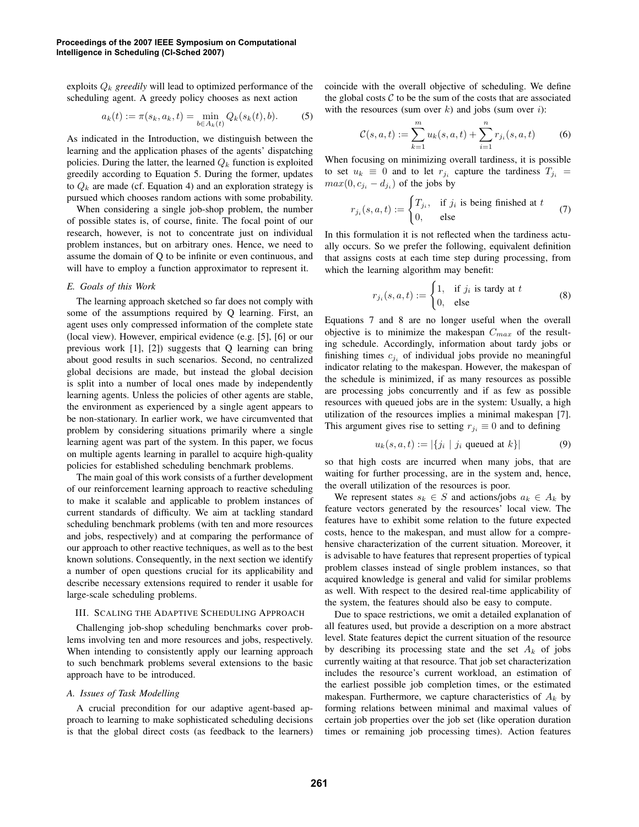exploits Q<sup>k</sup> *greedily* will lead to optimized performance of the scheduling agent. A greedy policy chooses as next action

$$
a_k(t) := \pi(s_k, a_k, t) = \min_{b \in A_k(t)} Q_k(s_k(t), b).
$$
 (5)

As indicated in the Introduction, we distinguish between the learning and the application phases of the agents' dispatching policies. During the latter, the learned  $Q_k$  function is exploited greedily according to Equation 5. During the former, updates to  $Q_k$  are made (cf. Equation 4) and an exploration strategy is pursued which chooses random actions with some probability.

When considering a single job-shop problem, the number of possible states is, of course, finite. The focal point of our research, however, is not to concentrate just on individual problem instances, but on arbitrary ones. Hence, we need to assume the domain of Q to be infinite or even continuous, and will have to employ a function approximator to represent it.

#### *E. Goals of this Work*

The learning approach sketched so far does not comply with some of the assumptions required by Q learning. First, an agent uses only compressed information of the complete state (local view). However, empirical evidence (e.g. [5], [6] or our previous work [1], [2]) suggests that Q learning can bring about good results in such scenarios. Second, no centralized global decisions are made, but instead the global decision is split into a number of local ones made by independently learning agents. Unless the policies of other agents are stable, the environment as experienced by a single agent appears to be non-stationary. In earlier work, we have circumvented that problem by considering situations primarily where a single learning agent was part of the system. In this paper, we focus on multiple agents learning in parallel to acquire high-quality policies for established scheduling benchmark problems.

The main goal of this work consists of a further development of our reinforcement learning approach to reactive scheduling to make it scalable and applicable to problem instances of current standards of difficulty. We aim at tackling standard scheduling benchmark problems (with ten and more resources and jobs, respectively) and at comparing the performance of our approach to other reactive techniques, as well as to the best known solutions. Consequently, in the next section we identify a number of open questions crucial for its applicability and describe necessary extensions required to render it usable for large-scale scheduling problems.

# III. SCALING THE ADAPTIVE SCHEDULING APPROACH

Challenging job-shop scheduling benchmarks cover problems involving ten and more resources and jobs, respectively. When intending to consistently apply our learning approach to such benchmark problems several extensions to the basic approach have to be introduced.

#### *A. Issues of Task Modelling*

A crucial precondition for our adaptive agent-based approach to learning to make sophisticated scheduling decisions is that the global direct costs (as feedback to the learners) coincide with the overall objective of scheduling. We define the global costs  $C$  to be the sum of the costs that are associated with the resources (sum over  $k$ ) and jobs (sum over  $i$ ):

$$
\mathcal{C}(s, a, t) := \sum_{k=1}^{m} u_k(s, a, t) + \sum_{i=1}^{n} r_{j_i}(s, a, t)
$$
 (6)

When focusing on minimizing overall tardiness, it is possible to set  $u_k \equiv 0$  and to let  $r_{j_i}$  capture the tardiness  $T_{j_i}$  =  $max(0, c_{j_i} - d_{j_i})$  of the jobs by

$$
r_{j_i}(s, a, t) := \begin{cases} T_{j_i}, & \text{if } j_i \text{ is being finished at } t \\ 0, & \text{else} \end{cases} \tag{7}
$$

In this formulation it is not reflected when the tardiness actually occurs. So we prefer the following, equivalent definition that assigns costs at each time step during processing, from which the learning algorithm may benefit:

$$
r_{j_i}(s, a, t) := \begin{cases} 1, & \text{if } j_i \text{ is } \text{tary at } t \\ 0, & \text{else} \end{cases}
$$
 (8)

Equations 7 and 8 are no longer useful when the overall objective is to minimize the makespan  $C_{max}$  of the resulting schedule. Accordingly, information about tardy jobs or finishing times  $c_{j_i}$  of individual jobs provide no meaningful indicator relating to the makespan. However, the makespan of the schedule is minimized, if as many resources as possible are processing jobs concurrently and if as few as possible resources with queued jobs are in the system: Usually, a high utilization of the resources implies a minimal makespan [7]. This argument gives rise to setting  $r_{i} \equiv 0$  and to defining

$$
u_k(s, a, t) := |\{j_i \mid j_i \text{ queued at } k\}|
$$
 (9)

so that high costs are incurred when many jobs, that are waiting for further processing, are in the system and, hence, the overall utilization of the resources is poor.

We represent states  $s_k \in S$  and actions/jobs  $a_k \in A_k$  by feature vectors generated by the resources' local view. The features have to exhibit some relation to the future expected costs, hence to the makespan, and must allow for a comprehensive characterization of the current situation. Moreover, it is advisable to have features that represent properties of typical problem classes instead of single problem instances, so that acquired knowledge is general and valid for similar problems as well. With respect to the desired real-time applicability of the system, the features should also be easy to compute.

Due to space restrictions, we omit a detailed explanation of all features used, but provide a description on a more abstract level. State features depict the current situation of the resource by describing its processing state and the set  $A_k$  of jobs currently waiting at that resource. That job set characterization includes the resource's current workload, an estimation of the earliest possible job completion times, or the estimated makespan. Furthermore, we capture characteristics of  $A_k$  by forming relations between minimal and maximal values of certain job properties over the job set (like operation duration times or remaining job processing times). Action features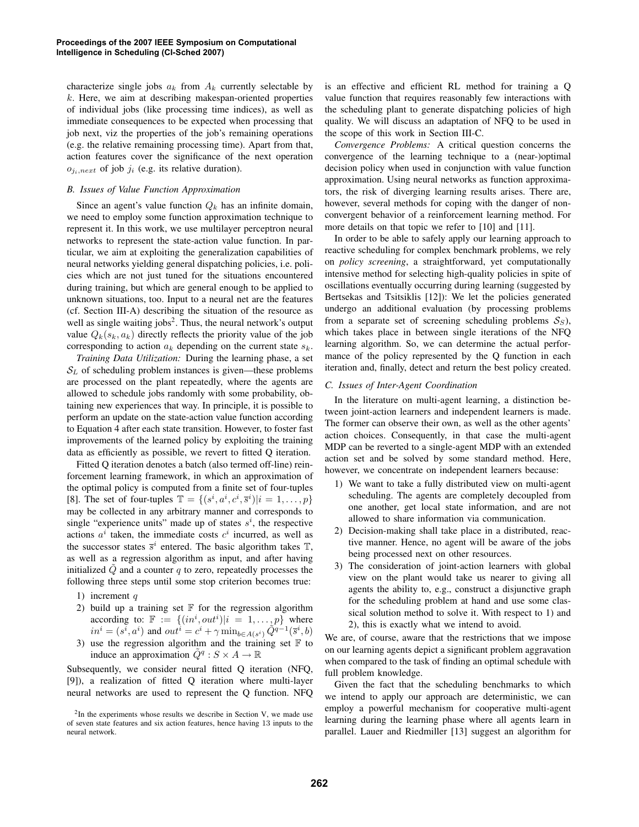characterize single jobs  $a_k$  from  $A_k$  currently selectable by  $k$ . Here, we aim at describing makespan-oriented properties of individual jobs (like processing time indices), as well as immediate consequences to be expected when processing that job next, viz the properties of the job's remaining operations (e.g. the relative remaining processing time). Apart from that, action features cover the significance of the next operation  $o_{i,next}$  of job  $j_i$  (e.g. its relative duration).

#### *B. Issues of Value Function Approximation*

Since an agent's value function  $Q_k$  has an infinite domain, we need to employ some function approximation technique to represent it. In this work, we use multilayer perceptron neural networks to represent the state-action value function. In particular, we aim at exploiting the generalization capabilities of neural networks yielding general dispatching policies, i.e. policies which are not just tuned for the situations encountered during training, but which are general enough to be applied to unknown situations, too. Input to a neural net are the features (cf. Section III-A) describing the situation of the resource as well as single waiting jobs<sup>2</sup>. Thus, the neural network's output value  $Q_k(s_k, a_k)$  directly reflects the priority value of the job corresponding to action  $a_k$  depending on the current state  $s_k$ .

*Training Data Utilization:* During the learning phase, a set  $S_L$  of scheduling problem instances is given—these problems are processed on the plant repeatedly, where the agents are allowed to schedule jobs randomly with some probability, obtaining new experiences that way. In principle, it is possible to perform an update on the state-action value function according to Equation 4 after each state transition. However, to foster fast improvements of the learned policy by exploiting the training data as efficiently as possible, we revert to fitted Q iteration.

Fitted Q iteration denotes a batch (also termed off-line) reinforcement learning framework, in which an approximation of the optimal policy is computed from a finite set of four-tuples [8]. The set of four-tuples  $\mathbb{T} = \{ (s^i, a^i, c^i, \bar{s}^i) | i = 1, ..., p \}$ may be collected in any arbitrary manner and corresponds to single "experience units" made up of states  $s^i$ , the respective actions  $a^i$  taken, the immediate costs  $c^i$  incurred, as well as the successor states  $\bar{s}^i$  entered. The basic algorithm takes  $\mathbb{T}$ , as well as a regression algorithm as input, and after having initialized  $Q$  and a counter  $q$  to zero, repeatedly processes the following three steps until some stop criterion becomes true:

- 1) increment  $q$
- 2) build up a training set  $F$  for the regression algorithm according to:  $\mathbb{F} := \{ (in^i, out^i) | i = 1, ..., p \}$  where  $i n^i = (s^i, a^i)$  and  $out^i = c^i + \gamma \min_{b \in A(s^i)} \tilde{Q}^{q-1}(\bar{s}^i, b)$
- 3) use the regression algorithm and the training set  $F$  to induce an approximation  $\tilde{Q}^q : S \times A \to \mathbb{R}$

Subsequently, we consider neural fitted Q iteration (NFQ, [9]), a realization of fitted Q iteration where multi-layer neural networks are used to represent the Q function. NFQ is an effective and efficient RL method for training a Q value function that requires reasonably few interactions with the scheduling plant to generate dispatching policies of high quality. We will discuss an adaptation of NFQ to be used in the scope of this work in Section III-C.

*Convergence Problems:* A critical question concerns the convergence of the learning technique to a (near-)optimal decision policy when used in conjunction with value function approximation. Using neural networks as function approximators, the risk of diverging learning results arises. There are, however, several methods for coping with the danger of nonconvergent behavior of a reinforcement learning method. For more details on that topic we refer to [10] and [11].

In order to be able to safely apply our learning approach to reactive scheduling for complex benchmark problems, we rely on *policy screening*, a straightforward, yet computationally intensive method for selecting high-quality policies in spite of oscillations eventually occurring during learning (suggested by Bertsekas and Tsitsiklis [12]): We let the policies generated undergo an additional evaluation (by processing problems from a separate set of screening scheduling problems  $S_S$ ), which takes place in between single iterations of the NFQ learning algorithm. So, we can determine the actual performance of the policy represented by the Q function in each iteration and, finally, detect and return the best policy created.

#### *C. Issues of Inter-Agent Coordination*

In the literature on multi-agent learning, a distinction between joint-action learners and independent learners is made. The former can observe their own, as well as the other agents' action choices. Consequently, in that case the multi-agent MDP can be reverted to a single-agent MDP with an extended action set and be solved by some standard method. Here, however, we concentrate on independent learners because:

- 1) We want to take a fully distributed view on multi-agent scheduling. The agents are completely decoupled from one another, get local state information, and are not allowed to share information via communication.
- 2) Decision-making shall take place in a distributed, reactive manner. Hence, no agent will be aware of the jobs being processed next on other resources.
- 3) The consideration of joint-action learners with global view on the plant would take us nearer to giving all agents the ability to, e.g., construct a disjunctive graph for the scheduling problem at hand and use some classical solution method to solve it. With respect to 1) and 2), this is exactly what we intend to avoid.

We are, of course, aware that the restrictions that we impose on our learning agents depict a significant problem aggravation when compared to the task of finding an optimal schedule with full problem knowledge.

Given the fact that the scheduling benchmarks to which we intend to apply our approach are deterministic, we can employ a powerful mechanism for cooperative multi-agent learning during the learning phase where all agents learn in parallel. Lauer and Riedmiller [13] suggest an algorithm for

 $2$ In the experiments whose results we describe in Section V, we made use of seven state features and six action features, hence having 13 inputs to the neural network.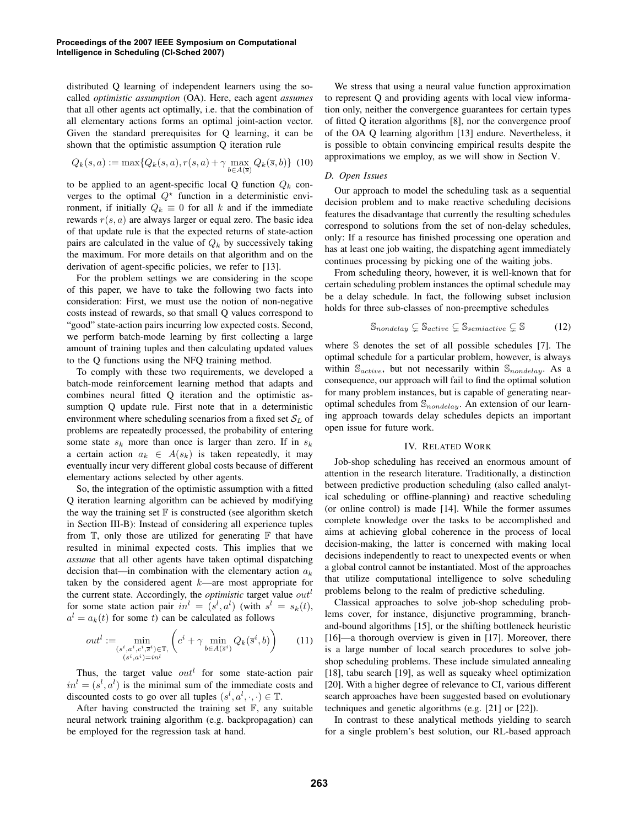distributed Q learning of independent learners using the socalled *optimistic assumption* (OA). Here, each agent *assumes* that all other agents act optimally, i.e. that the combination of all elementary actions forms an optimal joint-action vector. Given the standard prerequisites for Q learning, it can be shown that the optimistic assumption Q iteration rule

$$
Q_k(s, a) := \max\{Q_k(s, a), r(s, a) + \gamma \max_{b \in A(\overline{s})} Q_k(\overline{s}, b)\} \tag{10}
$$

to be applied to an agent-specific local Q function  $Q_k$  converges to the optimal  $Q^*$  function in a deterministic environment, if initially  $Q_k \equiv 0$  for all k and if the immediate rewards  $r(s, a)$  are always larger or equal zero. The basic idea of that update rule is that the expected returns of state-action pairs are calculated in the value of  $Q_k$  by successively taking the maximum. For more details on that algorithm and on the derivation of agent-specific policies, we refer to [13].

For the problem settings we are considering in the scope of this paper, we have to take the following two facts into consideration: First, we must use the notion of non-negative costs instead of rewards, so that small Q values correspond to "good" state-action pairs incurring low expected costs. Second, we perform batch-mode learning by first collecting a large amount of training tuples and then calculating updated values to the Q functions using the NFQ training method.

To comply with these two requirements, we developed a batch-mode reinforcement learning method that adapts and combines neural fitted Q iteration and the optimistic assumption Q update rule. First note that in a deterministic environment where scheduling scenarios from a fixed set  $S_L$  of problems are repeatedly processed, the probability of entering some state  $s_k$  more than once is larger than zero. If in  $s_k$ a certain action  $a_k \in A(s_k)$  is taken repeatedly, it may eventually incur very different global costs because of different elementary actions selected by other agents.

So, the integration of the optimistic assumption with a fitted Q iteration learning algorithm can be achieved by modifying the way the training set  $\mathbb F$  is constructed (see algorithm sketch in Section III-B): Instead of considering all experience tuples from  $T$ , only those are utilized for generating  $F$  that have resulted in minimal expected costs. This implies that we *assume* that all other agents have taken optimal dispatching decision that—in combination with the elementary action  $a_k$ taken by the considered agent k—are most appropriate for the current state. Accordingly, the *optimistic* target value  $out<sup>l</sup>$ for some state action pair  $in^l = (s^l, a^l)$  (with  $s^l = s_k(t)$ ,  $a^{l} = a_{k}(t)$  for some t) can be calculated as follows

$$
out^l := \min_{\substack{(s^i, a^i, c^i, \overline{s}^i) \in \mathbb{T}, \ (s^i, a^i) = in^l}} \left( c^i + \gamma \min_{b \in A(\overline{s}^i)} Q_k(\overline{s}^i, b) \right) \tag{11}
$$

Thus, the target value  $out<sup>l</sup>$  for some state-action pair  $in^{l} = (s^{l}, a^{l})$  is the minimal sum of the immediate costs and discounted costs to go over all tuples  $(s^l, a^l, \cdot, \cdot) \in \mathbb{T}$ .

After having constructed the training set  $\mathbb{F}$ , any suitable neural network training algorithm (e.g. backpropagation) can be employed for the regression task at hand.

We stress that using a neural value function approximation to represent Q and providing agents with local view information only, neither the convergence guarantees for certain types of fitted Q iteration algorithms [8], nor the convergence proof of the OA Q learning algorithm [13] endure. Nevertheless, it is possible to obtain convincing empirical results despite the approximations we employ, as we will show in Section V.

#### *D. Open Issues*

Our approach to model the scheduling task as a sequential decision problem and to make reactive scheduling decisions features the disadvantage that currently the resulting schedules correspond to solutions from the set of non-delay schedules, only: If a resource has finished processing one operation and has at least one job waiting, the dispatching agent immediately continues processing by picking one of the waiting jobs.

From scheduling theory, however, it is well-known that for certain scheduling problem instances the optimal schedule may be a delay schedule. In fact, the following subset inclusion holds for three sub-classes of non-preemptive schedules

$$
\mathbb{S}_{nondelay} \subsetneq \mathbb{S}_{active} \subsetneq \mathbb{S}_{semiactive} \subsetneq \mathbb{S}
$$
 (12)

where S denotes the set of all possible schedules [7]. The optimal schedule for a particular problem, however, is always within  $\mathbb{S}_{active}$ , but not necessarily within  $\mathbb{S}_{nondelay}$ . As a consequence, our approach will fail to find the optimal solution for many problem instances, but is capable of generating nearoptimal schedules from  $\mathbb{S}_{nondelay}$ . An extension of our learning approach towards delay schedules depicts an important open issue for future work.

#### IV. RELATED WORK

Job-shop scheduling has received an enormous amount of attention in the research literature. Traditionally, a distinction between predictive production scheduling (also called analytical scheduling or offline-planning) and reactive scheduling (or online control) is made [14]. While the former assumes complete knowledge over the tasks to be accomplished and aims at achieving global coherence in the process of local decision-making, the latter is concerned with making local decisions independently to react to unexpected events or when a global control cannot be instantiated. Most of the approaches that utilize computational intelligence to solve scheduling problems belong to the realm of predictive scheduling.

Classical approaches to solve job-shop scheduling problems cover, for instance, disjunctive programming, branchand-bound algorithms [15], or the shifting bottleneck heuristic [16]—a thorough overview is given in [17]. Moreover, there is a large number of local search procedures to solve jobshop scheduling problems. These include simulated annealing [18], tabu search [19], as well as squeaky wheel optimization [20]. With a higher degree of relevance to CI, various different search approaches have been suggested based on evolutionary techniques and genetic algorithms (e.g. [21] or [22]).

In contrast to these analytical methods yielding to search for a single problem's best solution, our RL-based approach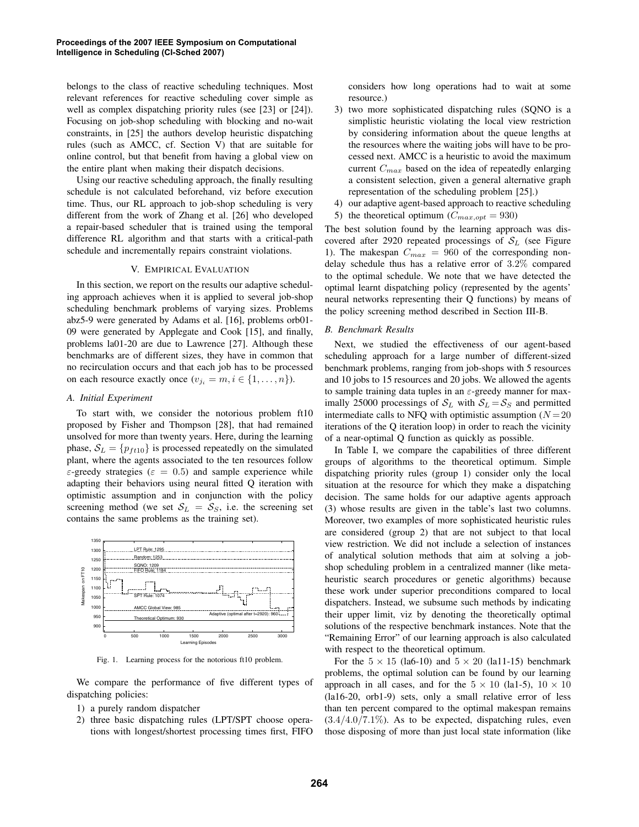belongs to the class of reactive scheduling techniques. Most relevant references for reactive scheduling cover simple as well as complex dispatching priority rules (see [23] or [24]). Focusing on job-shop scheduling with blocking and no-wait constraints, in [25] the authors develop heuristic dispatching rules (such as AMCC, cf. Section V) that are suitable for online control, but that benefit from having a global view on the entire plant when making their dispatch decisions.

Using our reactive scheduling approach, the finally resulting schedule is not calculated beforehand, viz before execution time. Thus, our RL approach to job-shop scheduling is very different from the work of Zhang et al. [26] who developed a repair-based scheduler that is trained using the temporal difference RL algorithm and that starts with a critical-path schedule and incrementally repairs constraint violations.

#### V. EMPIRICAL EVALUATION

In this section, we report on the results our adaptive scheduling approach achieves when it is applied to several job-shop scheduling benchmark problems of varying sizes. Problems abz5-9 were generated by Adams et al. [16], problems orb01- 09 were generated by Applegate and Cook [15], and finally, problems la01-20 are due to Lawrence [27]. Although these benchmarks are of different sizes, they have in common that no recirculation occurs and that each job has to be processed on each resource exactly once  $(v_{j_i} = m, i \in \{1, ..., n\}).$ 

#### *A. Initial Experiment*

To start with, we consider the notorious problem ft10 proposed by Fisher and Thompson [28], that had remained unsolved for more than twenty years. Here, during the learning phase,  $S_L = \{p_{ft10}\}\$ is processed repeatedly on the simulated plant, where the agents associated to the ten resources follow  $\varepsilon$ -greedy strategies ( $\varepsilon = 0.5$ ) and sample experience while adapting their behaviors using neural fitted Q iteration with optimistic assumption and in conjunction with the policy screening method (we set  $S_L = S_S$ , i.e. the screening set contains the same problems as the training set).



Fig. 1. Learning process for the notorious ft10 problem.

We compare the performance of five different types of dispatching policies:

- 1) a purely random dispatcher
- 2) three basic dispatching rules (LPT/SPT choose operations with longest/shortest processing times first, FIFO

considers how long operations had to wait at some resource.)

- 3) two more sophisticated dispatching rules (SQNO is a simplistic heuristic violating the local view restriction by considering information about the queue lengths at the resources where the waiting jobs will have to be processed next. AMCC is a heuristic to avoid the maximum current  $C_{max}$  based on the idea of repeatedly enlarging a consistent selection, given a general alternative graph representation of the scheduling problem [25].)
- 4) our adaptive agent-based approach to reactive scheduling 5) the theoretical optimum ( $C_{max,opt} = 930$ )

The best solution found by the learning approach was discovered after 2920 repeated processings of  $S_L$  (see Figure 1). The makespan  $C_{max} = 960$  of the corresponding nondelay schedule thus has a relative error of 3.2% compared to the optimal schedule. We note that we have detected the optimal learnt dispatching policy (represented by the agents' neural networks representing their Q functions) by means of the policy screening method described in Section III-B.

#### *B. Benchmark Results*

Next, we studied the effectiveness of our agent-based scheduling approach for a large number of different-sized benchmark problems, ranging from job-shops with 5 resources and 10 jobs to 15 resources and 20 jobs. We allowed the agents to sample training data tuples in an  $\varepsilon$ -greedy manner for maximally 25000 processings of  $S_L$  with  $S_L = S_S$  and permitted intermediate calls to NFQ with optimistic assumption ( $N = 20$ ) iterations of the Q iteration loop) in order to reach the vicinity of a near-optimal Q function as quickly as possible.

In Table I, we compare the capabilities of three different groups of algorithms to the theoretical optimum. Simple dispatching priority rules (group 1) consider only the local situation at the resource for which they make a dispatching decision. The same holds for our adaptive agents approach (3) whose results are given in the table's last two columns. Moreover, two examples of more sophisticated heuristic rules are considered (group 2) that are not subject to that local view restriction. We did not include a selection of instances of analytical solution methods that aim at solving a jobshop scheduling problem in a centralized manner (like metaheuristic search procedures or genetic algorithms) because these work under superior preconditions compared to local dispatchers. Instead, we subsume such methods by indicating their upper limit, viz by denoting the theoretically optimal solutions of the respective benchmark instances. Note that the "Remaining Error" of our learning approach is also calculated with respect to the theoretical optimum.

For the  $5 \times 15$  (la6-10) and  $5 \times 20$  (la11-15) benchmark problems, the optimal solution can be found by our learning approach in all cases, and for the  $5 \times 10$  (la1-5),  $10 \times 10$ (la16-20, orb1-9) sets, only a small relative error of less than ten percent compared to the optimal makespan remains  $(3.4/4.0/7.1\%)$ . As to be expected, dispatching rules, even those disposing of more than just local state information (like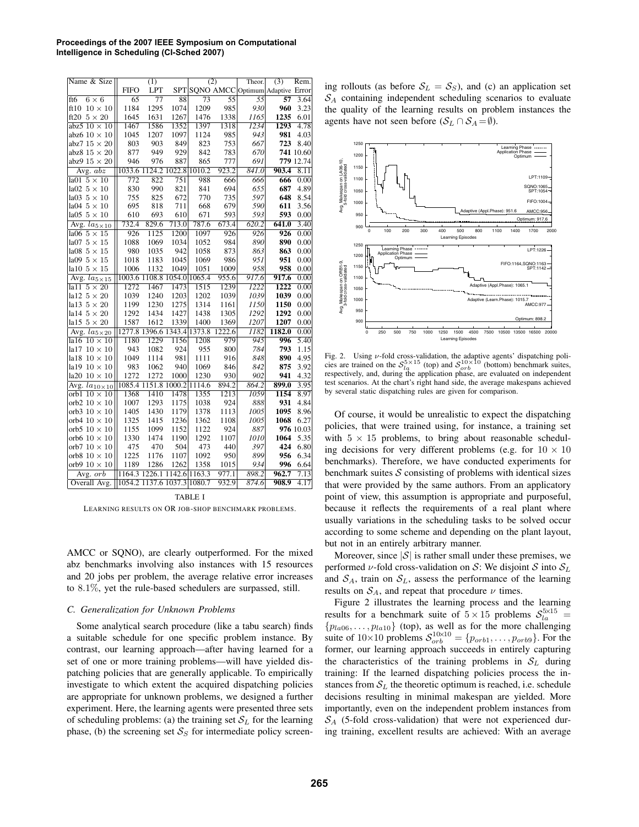| Name & Size             |             | (1)                  |                             |                                    | (2)             | Theor.                           | (3)             | Rem.      |
|-------------------------|-------------|----------------------|-----------------------------|------------------------------------|-----------------|----------------------------------|-----------------|-----------|
|                         | <b>FIFO</b> | <b>LPT</b>           | <b>SPT</b>                  |                                    |                 | SQNO AMCC Optimum Adaptive Error |                 |           |
| ft6<br>$6 \times 6$     | 65          | 77                   | 88                          | 73                                 | $\overline{55}$ | $\overline{55}$                  | $\overline{57}$ | 3.64      |
| ft10 $10 \times 10$     | 1184        | 1295                 | 1074                        | 1209                               | 985             | 930                              | 960             | 3.23      |
| ft20 $5 \times 20$      | 1645        | 1631                 | 1267                        | 1476                               | 1338            | 1165                             | 1235            | 6.01      |
| abz5 $10 \times 10$     | 1467        | 1586                 | 1352                        | 1397                               | 1318            | 1234                             | 1293            | 4.78      |
| abz $610 \times 10$     | 1045        | 1207                 | 1097                        | 1124                               | 985             | 943                              | 981             | 4.03      |
| abz7 $15 \times 20$     | 803         | 903                  | 849                         | 823                                | 753             | 667                              | 723             | 8.40      |
| abz8 $15 \times 20$     | 877         | 949                  | 929                         | 842                                | 783             | 670                              |                 | 741 10.60 |
| abz $915 \times 20$     | 946         | 976                  | 887                         | 865                                | 777             | 691                              |                 | 779 12.74 |
| Avg. $abz$              |             |                      | 1033.6 1124.2 1022.8        | 1010.2                             | 923.2           | 841.0                            | 903.4           | 8.11      |
| la01 $5 \times 10$      | 772         | 822                  | $\overline{751}$            | 988                                | 666             | 666                              | 666             | 0.00      |
| la02 $5 \times 10$      | 830         | 990                  | 821                         | 841                                | 694             | 655                              | 687             | 4.89      |
| la03 $5 \times 10$      | 755         | 825                  | 672                         | 770                                | 735             | 597                              | 648             | 8.54      |
| la04 $5 \times 10$      | 695         | 818                  | 711                         | 668                                | 679             | 590                              | 611             | 3.56      |
| la05 $5 \times 10$      | 610         | 693                  | 610                         | 671                                | 593             | 593                              | 593             | 0.00      |
| Avg. $la_{5\times 10}$  | 732.4       | 829.6                | 713.0                       | 787.6                              | 673.4           | 620.2                            | 641.0           | 3.40      |
| la06 $5 \times 15$      | 926         | 1125                 | 1200                        | 1097                               | 926             | 926                              | 926             | 0.00      |
| la07 $5 \times 15$      | 1088        | 1069                 | 1034                        | 1052                               | 984             | 890                              | 890             | 0.00      |
| la08 $5 \times 15$      | 980         | 1035                 | 942                         | 1058                               | 873             | 863                              | 863             | 0.00      |
| la09 $5 \times 15$      | 1018        | 1183                 | 1045                        | 1069                               | 986             | 951                              | 951             | 0.00      |
| la10 $5 \times 15$      | 1006        | 1132                 | 1049                        | 1051                               | 1009            | 958                              | 958             | 0.00      |
| Avg. $la_{5\times 15}$  |             | 1003.6 1108.8 1054.0 |                             | 1065.4                             | 955.6           | 917.6                            | 917.6           | 0.00      |
| la11 $5 \times 20$      | 1272        | 1467                 | 1473                        | 1515                               | 1239            | 1222                             | 1222            | 0.00      |
| la12 $5 \times 20$      | 1039        | 1240                 | 1203                        | 1202                               | 1039            | 1039                             | 1039            | 0.00      |
| la13 $5 \times 20$      | 1199        | 1230                 | 1275                        | 1314                               | 1161            | 1150                             | 1150            | 0.00      |
| la14 $5 \times 20$      | 1292        | 1434                 | 1427                        | 1438                               | 1305            | 1292                             | 1292            | 0.00      |
| la15 $5 \times 20$      | 1587        | 1612                 | 1339                        | 1400                               | 1369            | 1207                             | 1207            | 0.00      |
| Avg. $la_{5\times 20}$  |             |                      |                             | 1277.8 1396.6 1343.4 1373.8 1222.6 |                 | 1182                             | 1182.0          | 0.00      |
| la16 $10 \times 10$     | 1180        | 1229                 | 1156                        | 1208                               | 979             | 945                              | 996             | 5.40      |
| la17 $10 \times 10$     | 943         | 1082                 | 924                         | 955                                | 800             | 784                              | 793             | 1.15      |
| la18 $10 \times 10$     | 1049        | 1114                 | 981                         | 1111                               | 916             | 848                              | 890             | 4.95      |
| la19 $10 \times 10$     | 983         | 1062                 | 940                         | 1069                               | 846             | 842                              | 875             | 3.92      |
| la20 $10 \times 10$     | 1272        | 1272                 | 1000                        | 1230                               | 930             | 902                              | 941             | 4.32      |
| Avg. $la_{10\times 10}$ |             | 1085.4 1151.8 1000.2 |                             | 1114.6                             | 894.2           | 864.2                            | 899.0           | 3.95      |
| orb1 $10 \times 10$     | 1368        | 1410                 | 1478                        | 1355                               | 1213            | 1059                             | 1154            | 8.97      |
| orb2 $10 \times 10$     | 1007        | 1293                 | 1175                        | 1038                               | 924             | 888                              | 931             | 4.84      |
| orb3 $10 \times 10$     | 1405        | 1430                 | 1179                        | 1378                               | 1113            | 1005                             | 1095            | 8.96      |
| orb4 $10 \times 10$     | 1325        | 1415                 | 1236                        | 1362                               | 1108            | 1005                             | 1068            | 6.27      |
| orb5 $10 \times 10$     | 1155        | 1099                 | 1152                        | 1122                               | 924             | 887                              |                 | 976 10.03 |
| orbo $10 \times 10$     | 1330        | 1474                 | 1190                        | 1292                               | 1107            | 1010                             | 1064            | 5.35      |
| orb7 $10 \times 10$     | 475         | 470                  | 504                         | 473                                | 440             | 397                              | 424             | 6.80      |
| orb8 $10 \times 10$     | 1225        | 1176                 | 1107                        | 1092                               | 950             | 899                              | 956             | 6.34      |
| orb9 $10 \times 10$     | 1189        | 1286                 | 1262                        | 1358                               | 1015            | 934                              | 996             | 6.64      |
| Avg. $orb$              |             |                      | 1164.3 1226.1 1142.6 1163.3 |                                    | 977.1           | 898.2                            | 962.7           | 7.13      |
| Overall Avg.            |             |                      | 1054.2 1137.6 1037.3 1080.7 |                                    | 932.9           | 874.6                            | 908.9           | 4.17      |
|                         |             |                      |                             |                                    |                 |                                  |                 |           |

**Proceedings of the 2007 IEEE Symposium on Computational Intelligence in Scheduling (CI-Sched 2007)**

TABLE I

LEARNING RESULTS ON OR JOB-SHOP BENCHMARK PROBLEMS.

AMCC or SQNO), are clearly outperformed. For the mixed abz benchmarks involving also instances with 15 resources and 20 jobs per problem, the average relative error increases to 8.1%, yet the rule-based schedulers are surpassed, still.

### *C. Generalization for Unknown Problems*

Some analytical search procedure (like a tabu search) finds a suitable schedule for one specific problem instance. By contrast, our learning approach—after having learned for a set of one or more training problems—will have yielded dispatching policies that are generally applicable. To empirically investigate to which extent the acquired dispatching policies are appropriate for unknown problems, we designed a further experiment. Here, the learning agents were presented three sets of scheduling problems: (a) the training set  $S_L$  for the learning phase, (b) the screening set  $S<sub>S</sub>$  for intermediate policy screening rollouts (as before  $S_L = S_S$ ), and (c) an application set  $S_A$  containing independent scheduling scenarios to evaluate the quality of the learning results on problem instances the agents have not seen before  $(S_L \cap S_A = \emptyset)$ .



Fig. 2. Using *v*-fold cross-validation, the adaptive agents' dispatching policies are trained on the  $S_{lq}^{5\times15}$  (top) and  $S_{orb}^{10\times10}$  (bottom) benchmark suites, respectively, and, during the application phase, are evaluated on independent test scenarios. At the chart's right hand side, the average makespans achieved by several static dispatching rules are given for comparison.

Of course, it would be unrealistic to expect the dispatching policies, that were trained using, for instance, a training set with  $5 \times 15$  problems, to bring about reasonable scheduling decisions for very different problems (e.g. for  $10 \times 10$ benchmarks). Therefore, we have conducted experiments for benchmark suites  $S$  consisting of problems with identical sizes that were provided by the same authors. From an applicatory point of view, this assumption is appropriate and purposeful, because it reflects the requirements of a real plant where usually variations in the scheduling tasks to be solved occur according to some scheme and depending on the plant layout, but not in an entirely arbitrary manner.

Moreover, since  $|S|$  is rather small under these premises, we performed v-fold cross-validation on S: We disjoint S into  $S_L$ and  $S_A$ , train on  $S_L$ , assess the performance of the learning results on  $S_A$ , and repeat that procedure  $\nu$  times.

Figure 2 illustrates the learning process and the learning results for a benchmark suite of  $5 \times 15$  problems  $S_{la}^{5 \times 15}$  =  ${p_{la06}, \ldots, p_{la10}}$  (top), as well as for the more challenging suite of  $10\times10$  problems  $S_{orb}^{10\times10} = \{p_{orb1}, \ldots, p_{orb9}\}$ . For the former, our learning approach succeeds in entirely capturing the characteristics of the training problems in  $S_L$  during training: If the learned dispatching policies process the instances from  $S_L$  the theoretic optimum is reached, i.e. schedule decisions resulting in minimal makespan are yielded. More importantly, even on the independent problem instances from  $S_A$  (5-fold cross-validation) that were not experienced during training, excellent results are achieved: With an average